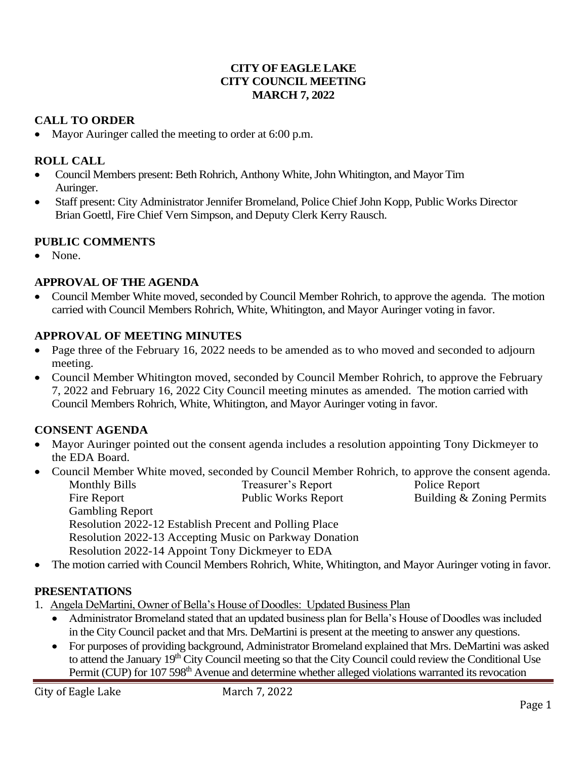## **CITY OF EAGLE LAKE CITY COUNCIL MEETING MARCH 7, 2022**

## **CALL TO ORDER**

• Mayor Auringer called the meeting to order at 6:00 p.m.

## **ROLL CALL**

- Council Members present: Beth Rohrich, Anthony White, John Whitington, and Mayor Tim Auringer.
- Staff present: City Administrator Jennifer Bromeland, Police Chief John Kopp, Public Works Director Brian Goettl, Fire Chief Vern Simpson, and Deputy Clerk Kerry Rausch.

## **PUBLIC COMMENTS**

• None.

## **APPROVAL OF THE AGENDA**

• Council Member White moved, seconded by Council Member Rohrich, to approve the agenda. The motion carried with Council Members Rohrich, White, Whitington, and Mayor Auringer voting in favor.

#### **APPROVAL OF MEETING MINUTES**

- Page three of the February 16, 2022 needs to be amended as to who moved and seconded to adjourn meeting.
- Council Member Whitington moved, seconded by Council Member Rohrich, to approve the February 7, 2022 and February 16, 2022 City Council meeting minutes as amended. The motion carried with Council Members Rohrich, White, Whitington, and Mayor Auringer voting in favor.

#### **CONSENT AGENDA**

- Mayor Auringer pointed out the consent agenda includes a resolution appointing Tony Dickmeyer to the EDA Board.
- Council Member White moved, seconded by Council Member Rohrich, to approve the consent agenda. Monthly Bills Treasurer's Report Police Report
	- Fire Report Public Works Report Building & Zoning Permits Gambling Report Resolution 2022-12 Establish Precent and Polling Place Resolution 2022-13 Accepting Music on Parkway Donation Resolution 2022-14 Appoint Tony Dickmeyer to EDA
- The motion carried with Council Members Rohrich, White, Whitington, and Mayor Auringer voting in favor.

## **PRESENTATIONS**

- 1. Angela DeMartini, Owner of Bella's House of Doodles: Updated Business Plan
	- Administrator Bromeland stated that an updated business plan for Bella's House of Doodles was included in the City Council packet and that Mrs. DeMartini is present at the meeting to answer any questions.
	- For purposes of providing background, Administrator Bromeland explained that Mrs. DeMartini was asked to attend the January 19<sup>th</sup> City Council meeting so that the City Council could review the Conditional Use Permit (CUP) for 107 598<sup>th</sup> Avenue and determine whether alleged violations warranted its revocation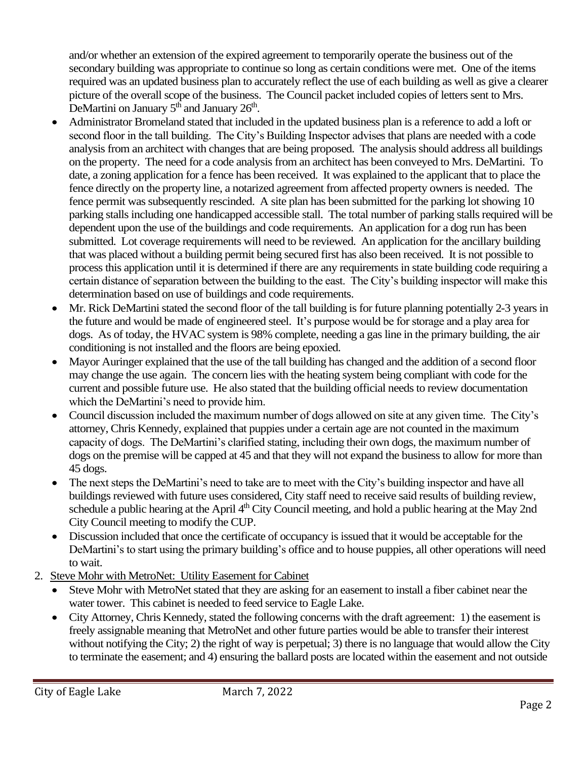and/or whether an extension of the expired agreement to temporarily operate the business out of the secondary building was appropriate to continue so long as certain conditions were met. One of the items required was an updated business plan to accurately reflect the use of each building as well as give a clearer picture of the overall scope of the business. The Council packet included copies of letters sent to Mrs. DeMartini on January  $5<sup>th</sup>$  and January  $26<sup>th</sup>$ .

- Administrator Bromeland stated that included in the updated business plan is a reference to add a loft or second floor in the tall building. The City's Building Inspector advises that plans are needed with a code analysis from an architect with changes that are being proposed. The analysis should address all buildings on the property. The need for a code analysis from an architect has been conveyed to Mrs. DeMartini. To date, a zoning application for a fence has been received. It was explained to the applicant that to place the fence directly on the property line, a notarized agreement from affected property owners is needed. The fence permit was subsequently rescinded. A site plan has been submitted for the parking lot showing 10 parking stalls including one handicapped accessible stall. The total number of parking stalls required will be dependent upon the use of the buildings and code requirements. An application for a dog run has been submitted. Lot coverage requirements will need to be reviewed. An application for the ancillary building that was placed without a building permit being secured first has also been received. It is not possible to process this application until it is determined if there are any requirements in state building code requiring a certain distance of separation between the building to the east. The City's building inspector will make this determination based on use of buildings and code requirements.
- Mr. Rick DeMartini stated the second floor of the tall building is for future planning potentially 2-3 years in the future and would be made of engineered steel. It's purpose would be for storage and a play area for dogs. As of today, the HVAC system is 98% complete, needing a gas line in the primary building, the air conditioning is not installed and the floors are being epoxied.
- Mayor Auringer explained that the use of the tall building has changed and the addition of a second floor may change the use again. The concern lies with the heating system being compliant with code for the current and possible future use. He also stated that the building official needs to review documentation which the DeMartini's need to provide him.
- Council discussion included the maximum number of dogs allowed on site at any given time. The City's attorney, Chris Kennedy, explained that puppies under a certain age are not counted in the maximum capacity of dogs. The DeMartini's clarified stating, including their own dogs, the maximum number of dogs on the premise will be capped at 45 and that they will not expand the business to allow for more than 45 dogs.
- The next steps the DeMartini's need to take are to meet with the City's building inspector and have all buildings reviewed with future uses considered, City staff need to receive said results of building review, schedule a public hearing at the April 4<sup>th</sup> City Council meeting, and hold a public hearing at the May 2nd City Council meeting to modify the CUP.
- Discussion included that once the certificate of occupancy is issued that it would be acceptable for the DeMartini's to start using the primary building's office and to house puppies, all other operations will need to wait.
- 2. Steve Mohr with MetroNet: Utility Easement for Cabinet
	- Steve Mohr with MetroNet stated that they are asking for an easement to install a fiber cabinet near the water tower. This cabinet is needed to feed service to Eagle Lake.
	- City Attorney, Chris Kennedy, stated the following concerns with the draft agreement: 1) the easement is freely assignable meaning that MetroNet and other future parties would be able to transfer their interest without notifying the City; 2) the right of way is perpetual; 3) there is no language that would allow the City to terminate the easement; and 4) ensuring the ballard posts are located within the easement and not outside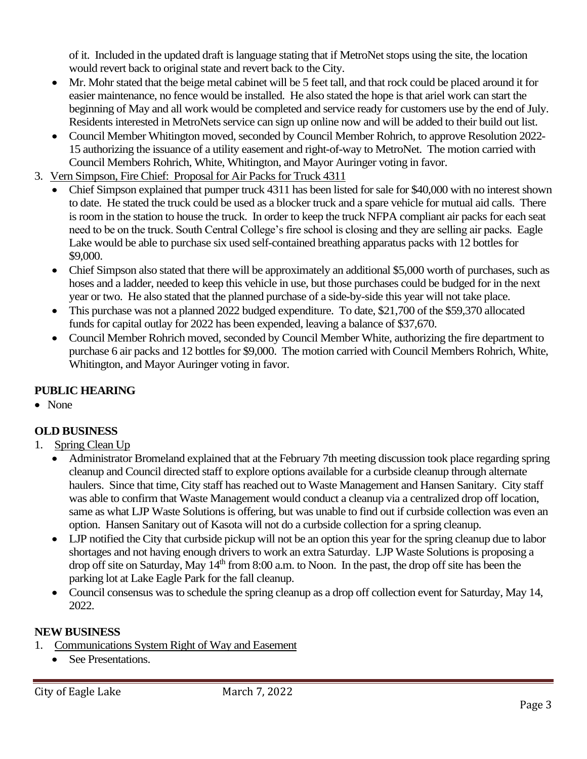of it. Included in the updated draft is language stating that if MetroNet stops using the site, the location would revert back to original state and revert back to the City.

- Mr. Mohr stated that the beige metal cabinet will be 5 feet tall, and that rock could be placed around it for easier maintenance, no fence would be installed. He also stated the hope is that ariel work can start the beginning of May and all work would be completed and service ready for customers use by the end of July. Residents interested in MetroNets service can sign up online now and will be added to their build out list.
- Council Member Whitington moved, seconded by Council Member Rohrich, to approve Resolution 2022- 15 authorizing the issuance of a utility easement and right-of-way to MetroNet. The motion carried with Council Members Rohrich, White, Whitington, and Mayor Auringer voting in favor.
- 3. Vern Simpson, Fire Chief: Proposal for Air Packs for Truck 4311
	- Chief Simpson explained that pumper truck 4311 has been listed for sale for \$40,000 with no interest shown to date. He stated the truck could be used as a blocker truck and a spare vehicle for mutual aid calls. There is room in the station to house the truck. In order to keep the truck NFPA compliant air packs for each seat need to be on the truck. South Central College's fire school is closing and they are selling air packs. Eagle Lake would be able to purchase six used self-contained breathing apparatus packs with 12 bottles for \$9,000.
	- Chief Simpson also stated that there will be approximately an additional \$5,000 worth of purchases, such as hoses and a ladder, needed to keep this vehicle in use, but those purchases could be budged for in the next year or two. He also stated that the planned purchase of a side-by-side this year will not take place.
	- This purchase was not a planned 2022 budged expenditure. To date, \$21,700 of the \$59,370 allocated funds for capital outlay for 2022 has been expended, leaving a balance of \$37,670.
	- Council Member Rohrich moved, seconded by Council Member White, authorizing the fire department to purchase 6 air packs and 12 bottles for \$9,000. The motion carried with Council Members Rohrich, White, Whitington, and Mayor Auringer voting in favor.

# **PUBLIC HEARING**

• None

# **OLD BUSINESS**

- 1. Spring Clean Up
	- Administrator Bromeland explained that at the February 7th meeting discussion took place regarding spring cleanup and Council directed staff to explore options available for a curbside cleanup through alternate haulers. Since that time, City staff has reached out to Waste Management and Hansen Sanitary. City staff was able to confirm that Waste Management would conduct a cleanup via a centralized drop off location, same as what LJP Waste Solutions is offering, but was unable to find out if curbside collection was even an option. Hansen Sanitary out of Kasota will not do a curbside collection for a spring cleanup.
	- LJP notified the City that curbside pickup will not be an option this year for the spring cleanup due to labor shortages and not having enough drivers to work an extra Saturday. LJP Waste Solutions is proposing a drop off site on Saturday, May 14<sup>th</sup> from 8:00 a.m. to Noon. In the past, the drop off site has been the parking lot at Lake Eagle Park for the fall cleanup.
	- Council consensus was to schedule the spring cleanup as a drop off collection event for Saturday, May 14, 2022.

# **NEW BUSINESS**

- 1. Communications System Right of Way and Easement
	- See Presentations.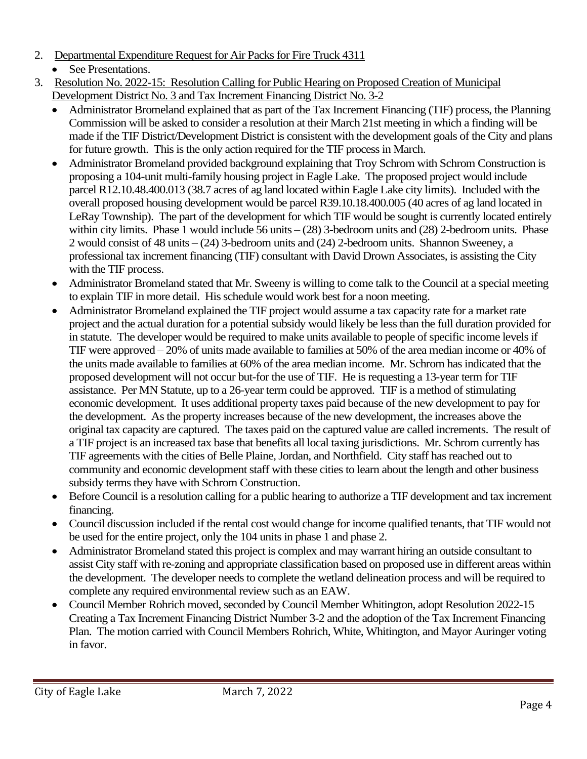- 2. Departmental Expenditure Request for Air Packs for Fire Truck 4311
	- See Presentations.
- 3. Resolution No. 2022-15: Resolution Calling for Public Hearing on Proposed Creation of Municipal Development District No. 3 and Tax Increment Financing District No. 3-2
	- Administrator Bromeland explained that as part of the Tax Increment Financing (TIF) process, the Planning Commission will be asked to consider a resolution at their March 21st meeting in which a finding will be made if the TIF District/Development District is consistent with the development goals of the City and plans for future growth. This is the only action required for the TIF process in March.
	- Administrator Bromeland provided background explaining that Troy Schrom with Schrom Construction is proposing a 104-unit multi-family housing project in Eagle Lake. The proposed project would include parcel R12.10.48.400.013 (38.7 acres of ag land located within Eagle Lake city limits). Included with the overall proposed housing development would be parcel R39.10.18.400.005 (40 acres of ag land located in LeRay Township). The part of the development for which TIF would be sought is currently located entirely within city limits. Phase 1 would include 56 units – (28) 3-bedroom units and (28) 2-bedroom units. Phase 2 would consist of 48 units – (24) 3-bedroom units and (24) 2-bedroom units. Shannon Sweeney, a professional tax increment financing (TIF) consultant with David Drown Associates, is assisting the City with the TIF process.
	- Administrator Bromeland stated that Mr. Sweeny is willing to come talk to the Council at a special meeting to explain TIF in more detail. His schedule would work best for a noon meeting.
	- Administrator Bromeland explained the TIF project would assume a tax capacity rate for a market rate project and the actual duration for a potential subsidy would likely be less than the full duration provided for in statute. The developer would be required to make units available to people of specific income levels if TIF were approved – 20% of units made available to families at 50% of the area median income or 40% of the units made available to families at 60% of the area median income. Mr. Schrom has indicated that the proposed development will not occur but-for the use of TIF. He is requesting a 13-year term for TIF assistance. Per MN Statute, up to a 26-year term could be approved. TIF is a method of stimulating economic development. It uses additional property taxes paid because of the new development to pay for the development. As the property increases because of the new development, the increases above the original tax capacity are captured. The taxes paid on the captured value are called increments. The result of a TIF project is an increased tax base that benefits all local taxing jurisdictions. Mr. Schrom currently has TIF agreements with the cities of Belle Plaine, Jordan, and Northfield. City staff has reached out to community and economic development staff with these cities to learn about the length and other business subsidy terms they have with Schrom Construction.
	- Before Council is a resolution calling for a public hearing to authorize a TIF development and tax increment financing.
	- Council discussion included if the rental cost would change for income qualified tenants, that TIF would not be used for the entire project, only the 104 units in phase 1 and phase 2.
	- Administrator Bromeland stated this project is complex and may warrant hiring an outside consultant to assist City staff with re-zoning and appropriate classification based on proposed use in different areas within the development. The developer needs to complete the wetland delineation process and will be required to complete any required environmental review such as an EAW.
	- Council Member Rohrich moved, seconded by Council Member Whitington, adopt Resolution 2022-15 Creating a Tax Increment Financing District Number 3-2 and the adoption of the Tax Increment Financing Plan. The motion carried with Council Members Rohrich, White, Whitington, and Mayor Auringer voting in favor.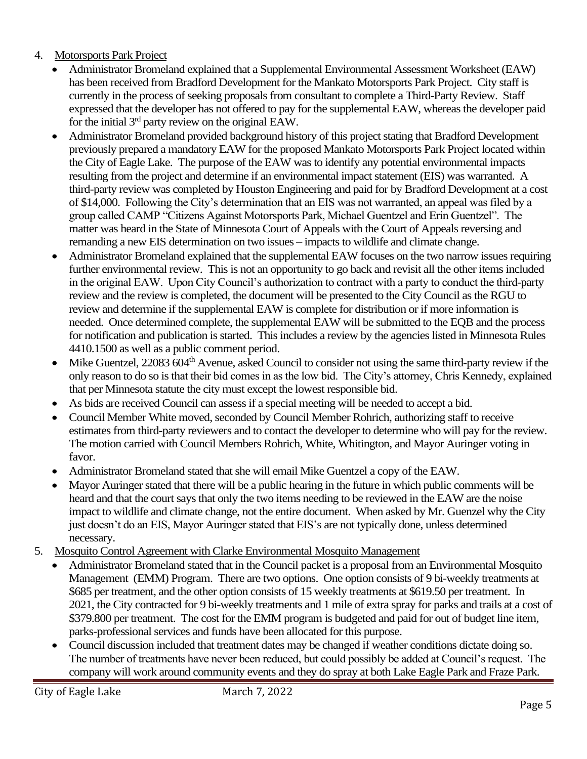# 4. Motorsports Park Project

- Administrator Bromeland explained that a Supplemental Environmental Assessment Worksheet (EAW) has been received from Bradford Development for the Mankato Motorsports Park Project. City staff is currently in the process of seeking proposals from consultant to complete a Third-Party Review. Staff expressed that the developer has not offered to pay for the supplemental EAW, whereas the developer paid for the initial 3rd party review on the original EAW.
- Administrator Bromeland provided background history of this project stating that Bradford Development previously prepared a mandatory EAW for the proposed Mankato Motorsports Park Project located within the City of Eagle Lake. The purpose of the EAW was to identify any potential environmental impacts resulting from the project and determine if an environmental impact statement (EIS) was warranted. A third-party review was completed by Houston Engineering and paid for by Bradford Development at a cost of \$14,000. Following the City's determination that an EIS was not warranted, an appeal was filed by a group called CAMP "Citizens Against Motorsports Park, Michael Guentzel and Erin Guentzel". The matter was heard in the State of Minnesota Court of Appeals with the Court of Appeals reversing and remanding a new EIS determination on two issues – impacts to wildlife and climate change.
- Administrator Bromeland explained that the supplemental EAW focuses on the two narrow issues requiring further environmental review. This is not an opportunity to go back and revisit all the other items included in the original EAW. Upon City Council's authorization to contract with a party to conduct the third-party review and the review is completed, the document will be presented to the City Council as the RGU to review and determine if the supplemental EAW is complete for distribution or if more information is needed. Once determined complete, the supplemental EAW will be submitted to the EQB and the process for notification and publication is started. This includes a review by the agencies listed in Minnesota Rules 4410.1500 as well as a public comment period.
- Mike Guentzel, 22083 604<sup>th</sup> Avenue, asked Council to consider not using the same third-party review if the only reason to do so isthat their bid comes in as the low bid. The City's attorney, Chris Kennedy, explained that per Minnesota statute the city must except the lowest responsible bid.
- As bids are received Council can assess if a special meeting will be needed to accept a bid.
- Council Member White moved, seconded by Council Member Rohrich, authorizing staff to receive estimates from third-party reviewers and to contact the developer to determine who will pay for the review. The motion carried with Council Members Rohrich, White, Whitington, and Mayor Auringer voting in favor.
- Administrator Bromeland stated that she will email Mike Guentzel a copy of the EAW.
- Mayor Auringer stated that there will be a public hearing in the future in which public comments will be heard and that the court says that only the two items needing to be reviewed in the EAW are the noise impact to wildlife and climate change, not the entire document. When asked by Mr. Guenzel why the City just doesn't do an EIS, Mayor Auringer stated that EIS's are not typically done, unless determined necessary.
- 5. Mosquito Control Agreement with Clarke Environmental Mosquito Management
	- Administrator Bromeland stated that in the Council packet is a proposal from an Environmental Mosquito Management (EMM) Program. There are two options. One option consists of 9 bi-weekly treatments at \$685 per treatment, and the other option consists of 15 weekly treatments at \$619.50 per treatment. In 2021, the City contracted for 9 bi-weekly treatments and 1 mile of extra spray for parks and trails at a cost of \$379.800 per treatment. The cost for the EMM program is budgeted and paid for out of budget line item, parks-professional services and funds have been allocated for this purpose.
	- Council discussion included that treatment dates may be changed if weather conditions dictate doing so. The number of treatments have never been reduced, but could possibly be added at Council's request. The company will work around community events and they do spray at both Lake Eagle Park and Fraze Park.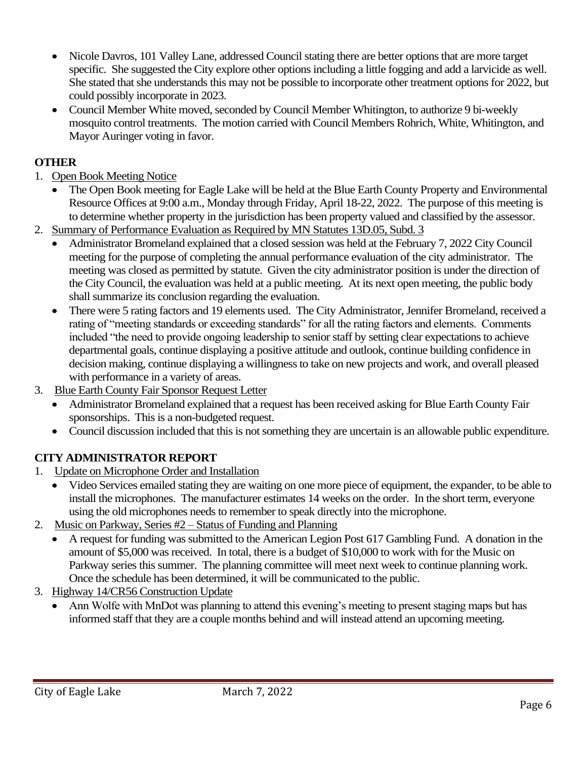- Nicole Davros, 101 Valley Lane, addressed Council stating there are better options that are more target specific. She suggested the City explore other options including a little fogging and add a larvicide as well. She stated that she understands this may not be possible to incorporate other treatment options for 2022, but could possibly incorporate in 2023.
- Council Member White moved, seconded by Council Member Whitington, to authorize 9 bi-weekly mosquito control treatments. The motion carried with Council Members Rohrich, White, Whitington, and Mayor Auringer voting in favor.

# **OTHER**

- 1. Open Book Meeting Notice
	- The Open Book meeting for Eagle Lake will be held at the Blue Earth County Property and Environmental Resource Offices at 9:00 a.m., Monday through Friday, April 18-22, 2022. The purpose of this meeting is to determine whether property in the jurisdiction has been property valued and classified by the assessor.
- 2. Summary of Performance Evaluation as Required by MN Statutes 13D.05, Subd. 3
	- Administrator Bromeland explained that a closed session was held at the February 7, 2022 City Council meeting for the purpose of completing the annual performance evaluation of the city administrator. The meeting was closed as permitted by statute. Given the city administrator position is under the direction of the City Council, the evaluation was held at a public meeting. At its next open meeting, the public body shall summarize its conclusion regarding the evaluation.
	- There were 5 rating factors and 19 elements used. The City Administrator, Jennifer Bromeland, received a rating of "meeting standards or exceeding standards" for all the rating factors and elements. Comments included "the need to provide ongoing leadership to senior staff by setting clear expectations to achieve departmental goals, continue displaying a positive attitude and outlook, continue building confidence in decision making, continue displaying a willingness to take on new projects and work, and overall pleased with performance in a variety of areas.
- 3. Blue Earth County Fair Sponsor Request Letter
	- Administrator Bromeland explained that a request has been received asking for Blue Earth County Fair sponsorships. This is a non-budgeted request.
	- Council discussion included that this is not something they are uncertain is an allowable public expenditure.

# **CITY ADMINISTRATOR REPORT**

- 1. Update on Microphone Order and Installation
	- Video Services emailed stating they are waiting on one more piece of equipment, the expander, to be able to install the microphones. The manufacturer estimates 14 weeks on the order. In the short term, everyone using the old microphones needs to remember to speak directly into the microphone.
- 2. Music on Parkway, Series #2 Status of Funding and Planning
	- A request for funding was submitted to the American Legion Post 617 Gambling Fund. A donation in the amount of \$5,000 was received. In total, there is a budget of \$10,000 to work with for the Music on Parkway series this summer. The planning committee will meet next week to continue planning work. Once the schedule has been determined, it will be communicated to the public.
- 3. Highway 14/CR56 Construction Update
	- Ann Wolfe with MnDot was planning to attend this evening's meeting to present staging maps but has informed staff that they are a couple months behind and will instead attend an upcoming meeting.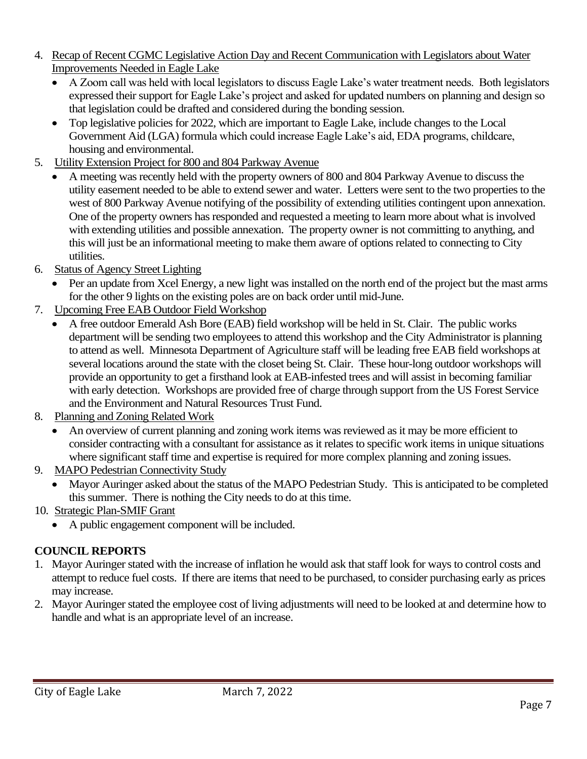- 4. Recap of Recent CGMC Legislative Action Day and Recent Communication with Legislators about Water Improvements Needed in Eagle Lake
	- A Zoom call was held with local legislators to discuss Eagle Lake's water treatment needs. Both legislators expressed their support for Eagle Lake's project and asked for updated numbers on planning and design so that legislation could be drafted and considered during the bonding session.
	- Top legislative policies for 2022, which are important to Eagle Lake, include changes to the Local Government Aid (LGA) formula which could increase Eagle Lake's aid, EDA programs, childcare, housing and environmental.
- 5. Utility Extension Project for 800 and 804 Parkway Avenue
	- A meeting was recently held with the property owners of 800 and 804 Parkway Avenue to discuss the utility easement needed to be able to extend sewer and water. Letters were sent to the two properties to the west of 800 Parkway Avenue notifying of the possibility of extending utilities contingent upon annexation. One of the property owners has responded and requested a meeting to learn more about what is involved with extending utilities and possible annexation. The property owner is not committing to anything, and this will just be an informational meeting to make them aware of options related to connecting to City utilities.
- 6. Status of Agency Street Lighting
	- Per an update from Xcel Energy, a new light was installed on the north end of the project but the mast arms for the other 9 lights on the existing poles are on back order until mid-June.
- 7. Upcoming Free EAB Outdoor Field Workshop
	- A free outdoor Emerald Ash Bore (EAB) field workshop will be held in St. Clair. The public works department will be sending two employees to attend this workshop and the City Administrator is planning to attend as well. Minnesota Department of Agriculture staff will be leading free EAB field workshops at several locations around the state with the closet being St. Clair. These hour-long outdoor workshops will provide an opportunity to get a firsthand look at EAB-infested trees and will assist in becoming familiar with early detection. Workshops are provided free of charge through support from the US Forest Service and the Environment and Natural Resources Trust Fund.
- 8. Planning and Zoning Related Work
	- An overview of current planning and zoning work items was reviewed as it may be more efficient to consider contracting with a consultant for assistance as it relates to specific work items in unique situations where significant staff time and expertise is required for more complex planning and zoning issues.
- 9. MAPO Pedestrian Connectivity Study
	- Mayor Auringer asked about the status of the MAPO Pedestrian Study. This is anticipated to be completed this summer. There is nothing the City needs to do at this time.
- 10. Strategic Plan-SMIF Grant
	- A public engagement component will be included.

# **COUNCIL REPORTS**

- 1. Mayor Auringer stated with the increase of inflation he would ask that staff look for ways to control costs and attempt to reduce fuel costs. If there are items that need to be purchased, to consider purchasing early as prices may increase.
- 2. Mayor Auringer stated the employee cost of living adjustments will need to be looked at and determine how to handle and what is an appropriate level of an increase.